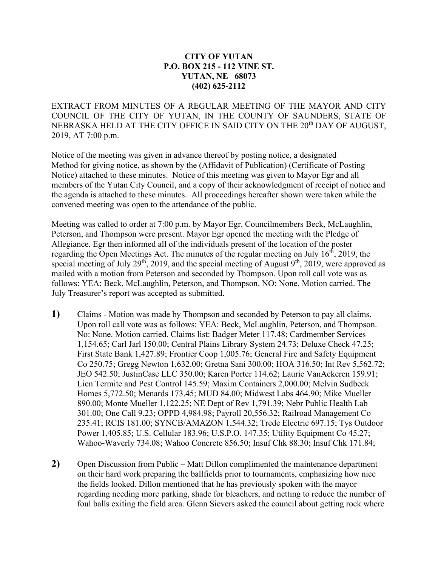## **CITY OF YUTAN P.O. BOX 215 - 112 VINE ST. YUTAN, NE 68073 (402) 625-2112**

EXTRACT FROM MINUTES OF A REGULAR MEETING OF THE MAYOR AND CITY COUNCIL OF THE CITY OF YUTAN, IN THE COUNTY OF SAUNDERS, STATE OF NEBRASKA HELD AT THE CITY OFFICE IN SAID CITY ON THE 20<sup>th</sup> DAY OF AUGUST, 2019, AT 7:00 p.m.

Notice of the meeting was given in advance thereof by posting notice, a designated Method for giving notice, as shown by the (Affidavit of Publication) (Certificate of Posting Notice) attached to these minutes. Notice of this meeting was given to Mayor Egr and all members of the Yutan City Council, and a copy of their acknowledgment of receipt of notice and the agenda is attached to these minutes. All proceedings hereafter shown were taken while the convened meeting was open to the attendance of the public.

Meeting was called to order at 7:00 p.m. by Mayor Egr. Councilmembers Beck, McLaughlin, Peterson, and Thompson were present. Mayor Egr opened the meeting with the Pledge of Allegiance. Egr then informed all of the individuals present of the location of the poster regarding the Open Meetings Act. The minutes of the regular meeting on July  $16<sup>th</sup>$ , 2019, the special meeting of July 29<sup>th</sup>, 2019, and the special meeting of August 9<sup>th</sup>, 2019, were approved as mailed with a motion from Peterson and seconded by Thompson. Upon roll call vote was as follows: YEA: Beck, McLaughlin, Peterson, and Thompson. NO: None. Motion carried. The July Treasurer's report was accepted as submitted.

- **1)** Claims Motion was made by Thompson and seconded by Peterson to pay all claims. Upon roll call vote was as follows: YEA: Beck, McLaughlin, Peterson, and Thompson. No: None. Motion carried. Claims list: Badger Meter 117.48; Cardmember Services 1,154.65; Carl Jarl 150.00; Central Plains Library System 24.73; Deluxe Check 47.25; First State Bank 1,427.89; Frontier Coop 1,005.76; General Fire and Safety Equipment Co 250.75; Gregg Newton 1,632.00; Gretna Sani 300.00; HOA 316.50; Int Rev 5,562.72; JEO 542.50; JustinCase LLC 350.00; Karen Porter 114.62; Laurie VanAckeren 159.91; Lien Termite and Pest Control 145.59; Maxim Containers 2,000.00; Melvin Sudbeck Homes 5,772.50; Menards 173.45; MUD 84.00; Midwest Labs 464.90; Mike Mueller 890.00; Monte Mueller 1,122.25; NE Dept of Rev 1,791.39; Nebr Public Health Lab 301.00; One Call 9.23; OPPD 4,984.98; Payroll 20,556.32; Railroad Management Co 235.41; RCIS 181.00; SYNCB/AMAZON 1,544.32; Trede Electric 697.15; Tys Outdoor Power 1,405.85; U.S. Cellular 183.96; U.S.P.O. 147.35; Utility Equipment Co 45.27; Wahoo-Waverly 734.08; Wahoo Concrete 856.50; Insuf Chk 88.30; Insuf Chk 171.84;
- **2)** Open Discussion from Public Matt Dillon complimented the maintenance department on their hard work preparing the ballfields prior to tournaments, emphasizing how nice the fields looked. Dillon mentioned that he has previously spoken with the mayor regarding needing more parking, shade for bleachers, and netting to reduce the number of foul balls exiting the field area. Glenn Sievers asked the council about getting rock where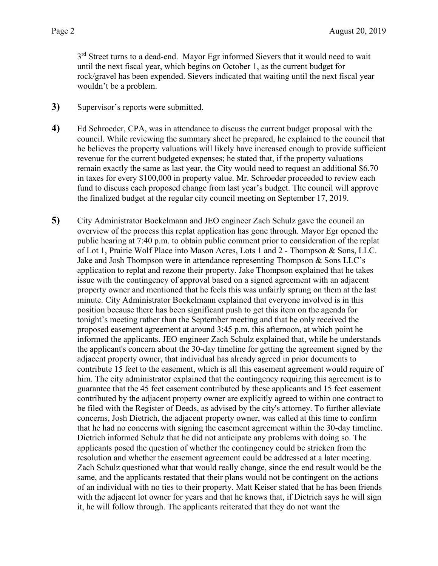3<sup>rd</sup> Street turns to a dead-end. Mayor Egr informed Sievers that it would need to wait until the next fiscal year, which begins on October 1, as the current budget for rock/gravel has been expended. Sievers indicated that waiting until the next fiscal year wouldn't be a problem.

- **3)** Supervisor's reports were submitted.
- **4)** Ed Schroeder, CPA, was in attendance to discuss the current budget proposal with the council. While reviewing the summary sheet he prepared, he explained to the council that he believes the property valuations will likely have increased enough to provide sufficient revenue for the current budgeted expenses; he stated that, if the property valuations remain exactly the same as last year, the City would need to request an additional \$6.70 in taxes for every \$100,000 in property value. Mr. Schroeder proceeded to review each fund to discuss each proposed change from last year's budget. The council will approve the finalized budget at the regular city council meeting on September 17, 2019.
- **5)** City Administrator Bockelmann and JEO engineer Zach Schulz gave the council an overview of the process this replat application has gone through. Mayor Egr opened the public hearing at 7:40 p.m. to obtain public comment prior to consideration of the replat of Lot 1, Prairie Wolf Place into Mason Acres, Lots 1 and 2 - Thompson & Sons, LLC. Jake and Josh Thompson were in attendance representing Thompson & Sons LLC's application to replat and rezone their property. Jake Thompson explained that he takes issue with the contingency of approval based on a signed agreement with an adjacent property owner and mentioned that he feels this was unfairly sprung on them at the last minute. City Administrator Bockelmann explained that everyone involved is in this position because there has been significant push to get this item on the agenda for tonight's meeting rather than the September meeting and that he only received the proposed easement agreement at around 3:45 p.m. this afternoon, at which point he informed the applicants. JEO engineer Zach Schulz explained that, while he understands the applicant's concern about the 30-day timeline for getting the agreement signed by the adjacent property owner, that individual has already agreed in prior documents to contribute 15 feet to the easement, which is all this easement agreement would require of him. The city administrator explained that the contingency requiring this agreement is to guarantee that the 45 feet easement contributed by these applicants and 15 feet easement contributed by the adjacent property owner are explicitly agreed to within one contract to be filed with the Register of Deeds, as advised by the city's attorney. To further alleviate concerns, Josh Dietrich, the adjacent property owner, was called at this time to confirm that he had no concerns with signing the easement agreement within the 30-day timeline. Dietrich informed Schulz that he did not anticipate any problems with doing so. The applicants posed the question of whether the contingency could be stricken from the resolution and whether the easement agreement could be addressed at a later meeting. Zach Schulz questioned what that would really change, since the end result would be the same, and the applicants restated that their plans would not be contingent on the actions of an individual with no ties to their property. Matt Keiser stated that he has been friends with the adjacent lot owner for years and that he knows that, if Dietrich says he will sign it, he will follow through. The applicants reiterated that they do not want the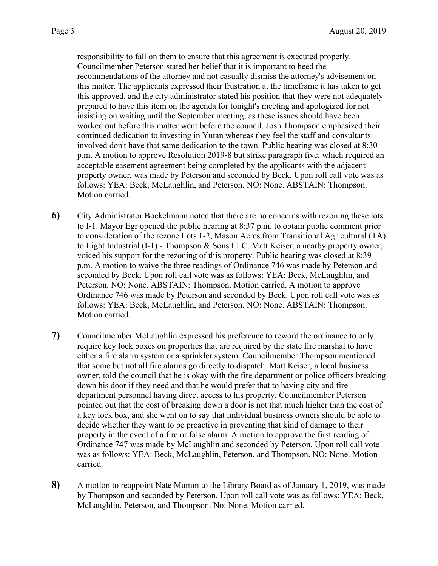responsibility to fall on them to ensure that this agreement is executed properly. Councilmember Peterson stated her belief that it is important to heed the recommendations of the attorney and not casually dismiss the attorney's advisement on this matter. The applicants expressed their frustration at the timeframe it has taken to get this approved, and the city administrator stated his position that they were not adequately prepared to have this item on the agenda for tonight's meeting and apologized for not insisting on waiting until the September meeting, as these issues should have been worked out before this matter went before the council. Josh Thompson emphasized their continued dedication to investing in Yutan whereas they feel the staff and consultants involved don't have that same dedication to the town. Public hearing was closed at 8:30 p.m. A motion to approve Resolution 2019-8 but strike paragraph five, which required an acceptable easement agreement being completed by the applicants with the adjacent property owner, was made by Peterson and seconded by Beck. Upon roll call vote was as follows: YEA: Beck, McLaughlin, and Peterson. NO: None. ABSTAIN: Thompson. Motion carried.

- **6)** City Administrator Bockelmann noted that there are no concerns with rezoning these lots to I-1. Mayor Egr opened the public hearing at 8:37 p.m. to obtain public comment prior to consideration of the rezone Lots 1-2, Mason Acres from Transitional Agricultural (TA) to Light Industrial (I-1) - Thompson & Sons LLC. Matt Keiser, a nearby property owner, voiced his support for the rezoning of this property. Public hearing was closed at 8:39 p.m. A motion to waive the three readings of Ordinance 746 was made by Peterson and seconded by Beck. Upon roll call vote was as follows: YEA: Beck, McLaughlin, and Peterson. NO: None. ABSTAIN: Thompson. Motion carried. A motion to approve Ordinance 746 was made by Peterson and seconded by Beck. Upon roll call vote was as follows: YEA: Beck, McLaughlin, and Peterson. NO: None. ABSTAIN: Thompson. Motion carried.
- **7)** Councilmember McLaughlin expressed his preference to reword the ordinance to only require key lock boxes on properties that are required by the state fire marshal to have either a fire alarm system or a sprinkler system. Councilmember Thompson mentioned that some but not all fire alarms go directly to dispatch. Matt Keiser, a local business owner, told the council that he is okay with the fire department or police officers breaking down his door if they need and that he would prefer that to having city and fire department personnel having direct access to his property. Councilmember Peterson pointed out that the cost of breaking down a door is not that much higher than the cost of a key lock box, and she went on to say that individual business owners should be able to decide whether they want to be proactive in preventing that kind of damage to their property in the event of a fire or false alarm. A motion to approve the first reading of Ordinance 747 was made by McLaughlin and seconded by Peterson. Upon roll call vote was as follows: YEA: Beck, McLaughlin, Peterson, and Thompson. NO: None. Motion carried.
- **8)** A motion to reappoint Nate Mumm to the Library Board as of January 1, 2019, was made by Thompson and seconded by Peterson. Upon roll call vote was as follows: YEA: Beck, McLaughlin, Peterson, and Thompson. No: None. Motion carried.